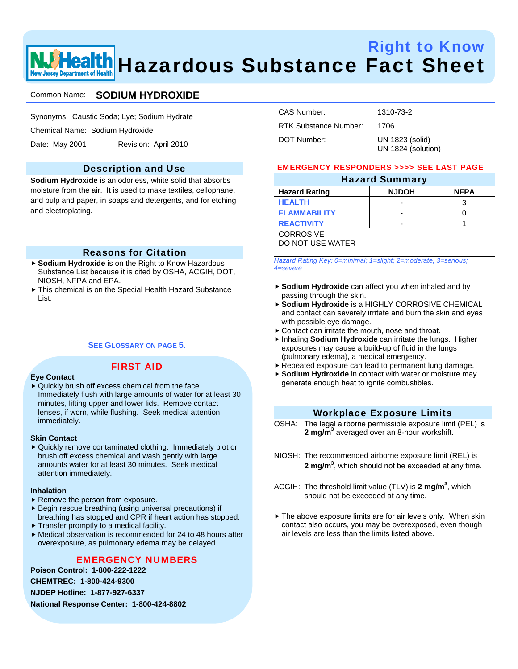# Right to Know **Health** Hazardous Substance Fact Sheet ew Jersey Department of Health

## Common Name: **SODIUM HYDROXIDE**

Synonyms: Caustic Soda; Lye; Sodium Hydrate

Chemical Name: Sodium Hydroxide

Date: May 2001 Revision: April 2010

## Description and Use

**Sodium Hydroxide** is an odorless, white solid that absorbs moisture from the air. It is used to make textiles, cellophane, and pulp and paper, in soaps and detergents, and for etching and electroplating.

## Reasons for Citation

- ► Sodium Hydroxide is on the Right to Know Hazardous Substance List because it is cited by OSHA, ACGIH, DOT, NIOSH, NFPA and EPA.
- $\triangleright$  This chemical is on the Special Health Hazard Substance List.

#### **SEE GLOSSARY ON PAGE 5.**

FIRST AID

#### **Eye Contact**

 $\blacktriangleright$  Quickly brush off excess chemical from the face. Immediately flush with large amounts of water for at least 30 minutes, lifting upper and lower lids. Remove contact lenses, if worn, while flushing. Seek medical attention immediately.

#### **Skin Contact**

▶ Quickly remove contaminated clothing. Immediately blot or brush off excess chemical and wash gently with large amounts water for at least 30 minutes. Seek medical attention immediately.

#### **Inhalation**

- $\blacktriangleright$  Remove the person from exposure.
- $\blacktriangleright$  Begin rescue breathing (using universal precautions) if breathing has stopped and CPR if heart action has stopped.
- $\blacktriangleright$  Transfer promptly to a medical facility.
- $\blacktriangleright$  Medical observation is recommended for 24 to 48 hours after overexposure, as pulmonary edema may be delayed.

## EMERGENCY NUMBERS

**Poison Control: 1-800-222-1222 CHEMTREC: 1-800-424-9300** 

**NJDEP Hotline: 1-877-927-6337** 

**National Response Center: 1-800-424-8802** 

| CAS Number:           | 1310-73-2                             |
|-----------------------|---------------------------------------|
| RTK Substance Number: | 1706                                  |
| DOT Number:           | UN 1823 (solid)<br>UN 1824 (solution) |

### EMERGENCY RESPONDERS >>>> SEE LAST PAGE Hazard Summary

| <b>Hazard Rating</b> | <b>NJDOH</b> | <b>NFPA</b> |
|----------------------|--------------|-------------|
| <b>HEALTH</b>        |              | 3           |
| <b>FLAMMABILITY</b>  |              |             |
| <b>REACTIVITY</b>    |              |             |
| <b>CORROSIVE</b>     |              |             |
| DO NOT USE WATER     |              |             |

*Hazard Rating Key: 0=minimal; 1=slight; 2=moderate; 3=serious; 4=severe*

- **Sodium Hydroxide** can affect you when inhaled and by passing through the skin.
- $\triangleright$  Sodium Hydroxide is a HIGHLY CORROSIVE CHEMICAL and contact can severely irritate and burn the skin and eyes with possible eye damage.
- $\blacktriangleright$  Contact can irritate the mouth, nose and throat.
- **h** Inhaling Sodium Hydroxide can irritate the lungs. Higher exposures may cause a build-up of fluid in the lungs (pulmonary edema), a medical emergency.
- $\blacktriangleright$  Repeated exposure can lead to permanent lung damage.
- **Sodium Hydroxide** in contact with water or moisture may generate enough heat to ignite combustibles.

## Workplace Exposure Limits

- OSHA: The legal airborne permissible exposure limit (PEL) is **2 mg/m3** averaged over an 8-hour workshift.
- NIOSH: The recommended airborne exposure limit (REL) is **2 mg/m3** , which should not be exceeded at any time.
- ACGIH: The threshold limit value (TLV) is 2 mg/m<sup>3</sup>, which should not be exceeded at any time.
- $\blacktriangleright$  The above exposure limits are for air levels only. When skin contact also occurs, you may be overexposed, even though air levels are less than the limits listed above.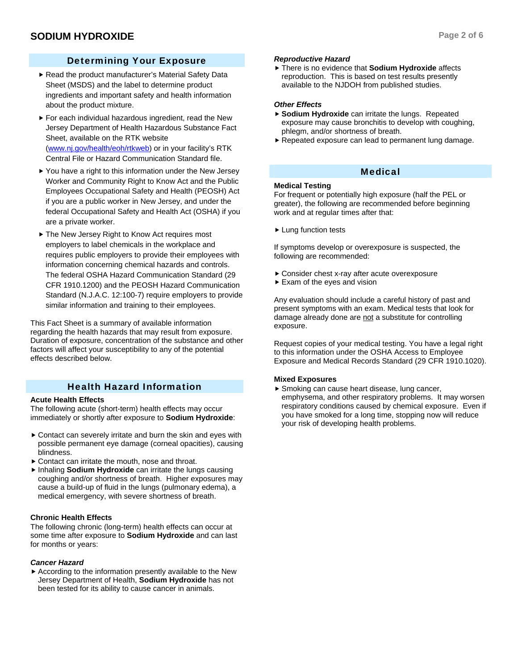# Determining Your Exposure

- Read the product manufacturer's Material Safety Data Sheet (MSDS) and the label to determine product ingredients and important safety and health information about the product mixture.
- $\blacktriangleright$  For each individual hazardous ingredient, read the New Jersey Department of Health Hazardous Substance Fact Sheet, available on the RTK website (www.nj.gov/health/eoh/rtkweb) or in your facility's RTK Central File or Hazard Communication Standard file.
- $\blacktriangleright$  You have a right to this information under the New Jersey Worker and Community Right to Know Act and the Public Employees Occupational Safety and Health (PEOSH) Act if you are a public worker in New Jersey, and under the federal Occupational Safety and Health Act (OSHA) if you are a private worker.
- ▶ The New Jersey Right to Know Act requires most employers to label chemicals in the workplace and requires public employers to provide their employees with information concerning chemical hazards and controls. The federal OSHA Hazard Communication Standard (29 CFR 1910.1200) and the PEOSH Hazard Communication Standard (N.J.A.C. 12:100-7) require employers to provide similar information and training to their employees.

This Fact Sheet is a summary of available information regarding the health hazards that may result from exposure. Duration of exposure, concentration of the substance and other factors will affect your susceptibility to any of the potential effects described below.

# Health Hazard Information

## **Acute Health Effects**

The following acute (short-term) health effects may occur immediately or shortly after exposure to **Sodium Hydroxide**:

- $\triangleright$  Contact can severely irritate and burn the skin and eyes with possible permanent eye damage (corneal opacities), causing blindness.
- $\triangleright$  Contact can irritate the mouth, nose and throat.
- **h** Inhaling Sodium Hydroxide can irritate the lungs causing coughing and/or shortness of breath. Higher exposures may cause a build-up of fluid in the lungs (pulmonary edema), a medical emergency, with severe shortness of breath.

## **Chronic Health Effects**

The following chronic (long-term) health effects can occur at some time after exposure to **Sodium Hydroxide** and can last for months or years:

## *Cancer Hazard*

 $\blacktriangleright$  According to the information presently available to the New Jersey Department of Health, **Sodium Hydroxide** has not been tested for its ability to cause cancer in animals.

## *Reproductive Hazard*

 $\triangleright$  There is no evidence that **Sodium Hydroxide** affects reproduction. This is based on test results presently available to the NJDOH from published studies.

### *Other Effects*

- ▶ Sodium Hydroxide can irritate the lungs. Repeated exposure may cause bronchitis to develop with coughing, phlegm, and/or shortness of breath.
- $\blacktriangleright$  Repeated exposure can lead to permanent lung damage.

## Medical

## **Medical Testing**

For frequent or potentially high exposure (half the PEL or greater), the following are recommended before beginning work and at regular times after that:

 $\blacktriangleright$  Lung function tests

If symptoms develop or overexposure is suspected, the following are recommended:

- ▶ Consider chest x-ray after acute overexposure
- $\blacktriangleright$  Exam of the eyes and vision

Any evaluation should include a careful history of past and present symptoms with an exam. Medical tests that look for damage already done are not a substitute for controlling exposure.

Request copies of your medical testing. You have a legal right to this information under the OSHA Access to Employee Exposure and Medical Records Standard (29 CFR 1910.1020).

### **Mixed Exposures**

▶ Smoking can cause heart disease, lung cancer, emphysema, and other respiratory problems. It may worsen respiratory conditions caused by chemical exposure. Even if you have smoked for a long time, stopping now will reduce your risk of developing health problems.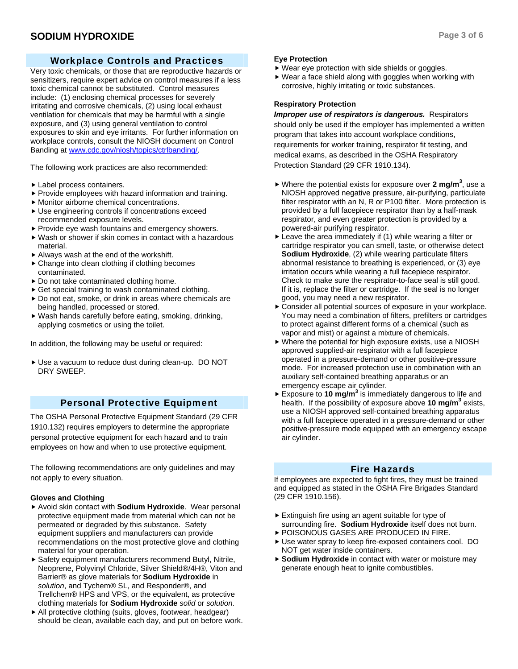## Workplace Controls and Practices

Very toxic chemicals, or those that are reproductive hazards or sensitizers, require expert advice on control measures if a less toxic chemical cannot be substituted. Control measures include: (1) enclosing chemical processes for severely irritating and corrosive chemicals, (2) using local exhaust ventilation for chemicals that may be harmful with a single exposure, and (3) using general ventilation to control exposures to skin and eye irritants. For further information on workplace controls, consult the NIOSH document on Control Banding at www.cdc.gov/niosh/topics/ctrlbanding/.

The following work practices are also recommended:

- $\blacktriangleright$  Label process containers.
- $\blacktriangleright$  Provide employees with hazard information and training.
- $\blacktriangleright$  Monitor airborne chemical concentrations.
- $\blacktriangleright$  Use engineering controls if concentrations exceed recommended exposure levels.
- $\blacktriangleright$  Provide eye wash fountains and emergency showers.
- $\blacktriangleright$  Wash or shower if skin comes in contact with a hazardous material.
- $\blacktriangleright$  Always wash at the end of the workshift.
- $\triangleright$  Change into clean clothing if clothing becomes contaminated.
- $\triangleright$  Do not take contaminated clothing home.
- $\triangleright$  Get special training to wash contaminated clothing.
- $\triangleright$  Do not eat, smoke, or drink in areas where chemicals are being handled, processed or stored.
- $\blacktriangleright$  Wash hands carefully before eating, smoking, drinking, applying cosmetics or using the toilet.

In addition, the following may be useful or required:

Use a vacuum to reduce dust during clean-up. DO NOT DRY SWEEP.

### Personal Protective Equipment

The OSHA Personal Protective Equipment Standard (29 CFR 1910.132) requires employers to determine the appropriate personal protective equipment for each hazard and to train employees on how and when to use protective equipment.

The following recommendations are only guidelines and may not apply to every situation.

#### **Gloves and Clothing**

- ▶ Avoid skin contact with **Sodium Hydroxide**. Wear personal protective equipment made from material which can not be permeated or degraded by this substance. Safety equipment suppliers and manufacturers can provide recommendations on the most protective glove and clothing material for your operation.
- $\triangleright$  Safety equipment manufacturers recommend Butyl, Nitrile, Neoprene, Polyvinyl Chloride, Silver Shield®/4H®, Viton and Barrier® as glove materials for **Sodium Hydroxide** in *solution*, and Tychem® SL, and Responder®, and Trellchem® HPS and VPS, or the equivalent, as protective clothing materials for **Sodium Hydroxide** *solid* or *solution*.
- $\blacktriangleright$  All protective clothing (suits, gloves, footwear, headgear) should be clean, available each day, and put on before work.

#### **Eye Protection**

- $\blacktriangleright$  Wear eye protection with side shields or goggles.
- $\blacktriangleright$  Wear a face shield along with goggles when working with corrosive, highly irritating or toxic substances.

#### **Respiratory Protection**

*Improper use of respirators is dangerous.* Respirators should only be used if the employer has implemented a written program that takes into account workplace conditions, requirements for worker training, respirator fit testing, and medical exams, as described in the OSHA Respiratory Protection Standard (29 CFR 1910.134).

- $\triangleright$  Where the potential exists for exposure over 2 mg/m<sup>3</sup>, use a NIOSH approved negative pressure, air-purifying, particulate filter respirator with an N, R or P100 filter. More protection is provided by a full facepiece respirator than by a half-mask respirator, and even greater protection is provided by a powered-air purifying respirator.
- $\blacktriangleright$  Leave the area immediately if (1) while wearing a filter or cartridge respirator you can smell, taste, or otherwise detect **Sodium Hydroxide**, (2) while wearing particulate filters abnormal resistance to breathing is experienced, or (3) eye irritation occurs while wearing a full facepiece respirator. Check to make sure the respirator-to-face seal is still good. If it is, replace the filter or cartridge. If the seal is no longer good, you may need a new respirator.
- $\triangleright$  Consider all potential sources of exposure in your workplace. You may need a combination of filters, prefilters or cartridges to protect against different forms of a chemical (such as vapor and mist) or against a mixture of chemicals.
- $\blacktriangleright$  Where the potential for high exposure exists, use a NIOSH approved supplied-air respirator with a full facepiece operated in a pressure-demand or other positive-pressure mode. For increased protection use in combination with an auxiliary self-contained breathing apparatus or an emergency escape air cylinder.
- $\triangleright$  Exposure to 10 mg/m<sup>3</sup> is immediately dangerous to life and health. If the possibility of exposure above 10 mg/m<sup>3</sup> exists, use a NIOSH approved self-contained breathing apparatus with a full facepiece operated in a pressure-demand or other positive-pressure mode equipped with an emergency escape air cylinder.

## Fire Hazards

If employees are expected to fight fires, they must be trained and equipped as stated in the OSHA Fire Brigades Standard (29 CFR 1910.156).

- $\blacktriangleright$  Extinguish fire using an agent suitable for type of surrounding fire. **Sodium Hydroxide** itself does not burn.
- **POISONOUS GASES ARE PRODUCED IN FIRE.**
- ► Use water spray to keep fire-exposed containers cool. DO NOT get water inside containers.
- **Sodium Hydroxide** in contact with water or moisture may generate enough heat to ignite combustibles.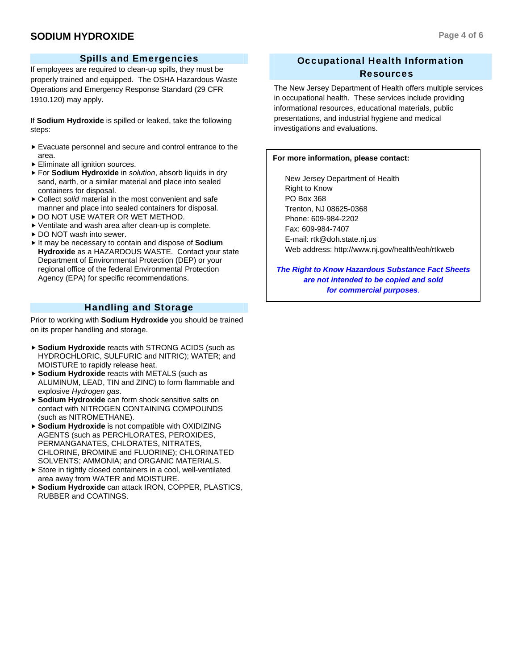## **SODIUM HYDROXIDE** Page 4 of 6

If employees are required to clean-up spills, they must be properly trained and equipped. The OSHA Hazardous Waste Operations and Emergency Response Standard (29 CFR 1910.120) may apply.

If **Sodium Hydroxide** is spilled or leaked, take the following steps:

- $\blacktriangleright$  Evacuate personnel and secure and control entrance to the area.
- $\blacktriangleright$  Eliminate all ignition sources.
- ► For **Sodium Hydroxide** in *solution*, absorb liquids in dry sand, earth, or a similar material and place into sealed containers for disposal.
- ► Collect *solid* material in the most convenient and safe manner and place into sealed containers for disposal.
- **P DO NOT USE WATER OR WET METHOD.**
- $\triangleright$  Ventilate and wash area after clean-up is complete.
- ▶ DO NOT wash into sewer.
- ▶ It may be necessary to contain and dispose of **Sodium Hydroxide** as a HAZARDOUS WASTE. Contact your state Department of Environmental Protection (DEP) or your regional office of the federal Environmental Protection Agency (EPA) for specific recommendations.

# Handling and Storage

Prior to working with **Sodium Hydroxide** you should be trained on its proper handling and storage.

- **Sodium Hydroxide** reacts with STRONG ACIDS (such as HYDROCHLORIC, SULFURIC and NITRIC); WATER; and MOISTURE to rapidly release heat.
- ▶ Sodium Hydroxide reacts with METALS (such as ALUMINUM, LEAD, TIN and ZINC) to form flammable and explosive *Hydrogen gas*.
- **► Sodium Hydroxide** can form shock sensitive salts on contact with NITROGEN CONTAINING COMPOUNDS (such as NITROMETHANE).
- **F** Sodium Hydroxide is not compatible with OXIDIZING AGENTS (such as PERCHLORATES, PEROXIDES, PERMANGANATES, CHLORATES, NITRATES, CHLORINE, BROMINE and FLUORINE); CHLORINATED SOLVENTS; AMMONIA; and ORGANIC MATERIALS.
- $\triangleright$  Store in tightly closed containers in a cool, well-ventilated area away from WATER and MOISTURE.
- f **Sodium Hydroxide** can attack IRON, COPPER, PLASTICS, RUBBER and COATINGS.

# Occupational Health Information Resources

The New Jersey Department of Health offers multiple services in occupational health. These services include providing informational resources, educational materials, public presentations, and industrial hygiene and medical investigations and evaluations.

#### **For more information, please contact:**

 New Jersey Department of Health Right to Know PO Box 368 Trenton, NJ 08625-0368 Phone: 609-984-2202 Fax: 609-984-7407 E-mail: rtk@doh.state.nj.us Web address: http://www.nj.gov/health/eoh/rtkweb

*The Right to Know Hazardous Substance Fact Sheets are not intended to be copied and sold for commercial purposes.*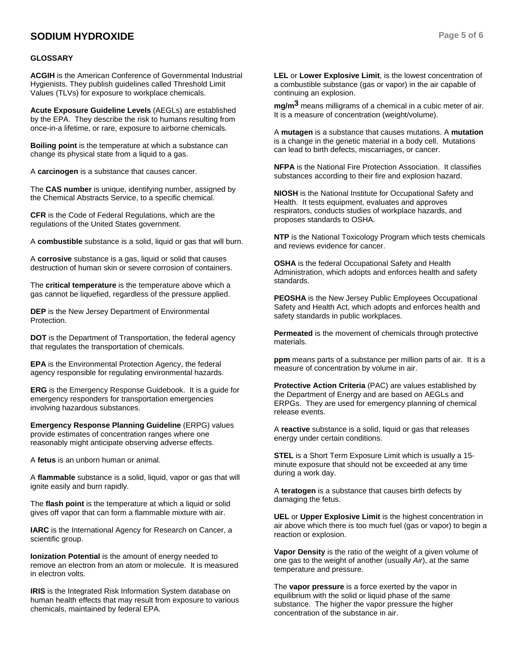## **SODIUM HYDROXIDE Page 5 of 6**

#### **GLOSSARY**

**ACGIH** is the American Conference of Governmental Industrial Hygienists. They publish guidelines called Threshold Limit Values (TLVs) for exposure to workplace chemicals.

**Acute Exposure Guideline Levels** (AEGLs) are established by the EPA. They describe the risk to humans resulting from once-in-a lifetime, or rare, exposure to airborne chemicals.

**Boiling point** is the temperature at which a substance can change its physical state from a liquid to a gas.

A **carcinogen** is a substance that causes cancer.

The **CAS number** is unique, identifying number, assigned by the Chemical Abstracts Service, to a specific chemical.

**CFR** is the Code of Federal Regulations, which are the regulations of the United States government.

A **combustible** substance is a solid, liquid or gas that will burn.

A **corrosive** substance is a gas, liquid or solid that causes destruction of human skin or severe corrosion of containers.

The **critical temperature** is the temperature above which a gas cannot be liquefied, regardless of the pressure applied.

**DEP** is the New Jersey Department of Environmental Protection.

**DOT** is the Department of Transportation, the federal agency that regulates the transportation of chemicals.

**EPA** is the Environmental Protection Agency, the federal agency responsible for regulating environmental hazards.

**ERG** is the Emergency Response Guidebook. It is a guide for emergency responders for transportation emergencies involving hazardous substances.

**Emergency Response Planning Guideline** (ERPG) values provide estimates of concentration ranges where one reasonably might anticipate observing adverse effects.

A **fetus** is an unborn human or animal.

A **flammable** substance is a solid, liquid, vapor or gas that will ignite easily and burn rapidly.

The **flash point** is the temperature at which a liquid or solid gives off vapor that can form a flammable mixture with air.

**IARC** is the International Agency for Research on Cancer, a scientific group.

**Ionization Potential** is the amount of energy needed to remove an electron from an atom or molecule. It is measured in electron volts.

**IRIS** is the Integrated Risk Information System database on human health effects that may result from exposure to various chemicals, maintained by federal EPA.

**LEL** or **Lower Explosive Limit**, is the lowest concentration of a combustible substance (gas or vapor) in the air capable of continuing an explosion.

**mg/m3** means milligrams of a chemical in a cubic meter of air. It is a measure of concentration (weight/volume).

A **mutagen** is a substance that causes mutations. A **mutation** is a change in the genetic material in a body cell. Mutations can lead to birth defects, miscarriages, or cancer.

**NFPA** is the National Fire Protection Association. It classifies substances according to their fire and explosion hazard.

**NIOSH** is the National Institute for Occupational Safety and Health. It tests equipment, evaluates and approves respirators, conducts studies of workplace hazards, and proposes standards to OSHA.

**NTP** is the National Toxicology Program which tests chemicals and reviews evidence for cancer.

**OSHA** is the federal Occupational Safety and Health Administration, which adopts and enforces health and safety standards.

**PEOSHA** is the New Jersey Public Employees Occupational Safety and Health Act, which adopts and enforces health and safety standards in public workplaces.

**Permeated** is the movement of chemicals through protective materials.

**ppm** means parts of a substance per million parts of air. It is a measure of concentration by volume in air.

**Protective Action Criteria** (PAC) are values established by the Department of Energy and are based on AEGLs and ERPGs. They are used for emergency planning of chemical release events.

A **reactive** substance is a solid, liquid or gas that releases energy under certain conditions.

**STEL** is a Short Term Exposure Limit which is usually a 15 minute exposure that should not be exceeded at any time during a work day.

A **teratogen** is a substance that causes birth defects by damaging the fetus.

**UEL** or **Upper Explosive Limit** is the highest concentration in air above which there is too much fuel (gas or vapor) to begin a reaction or explosion.

**Vapor Density** is the ratio of the weight of a given volume of one gas to the weight of another (usually *Air*), at the same temperature and pressure.

The **vapor pressure** is a force exerted by the vapor in equilibrium with the solid or liquid phase of the same substance. The higher the vapor pressure the higher concentration of the substance in air.